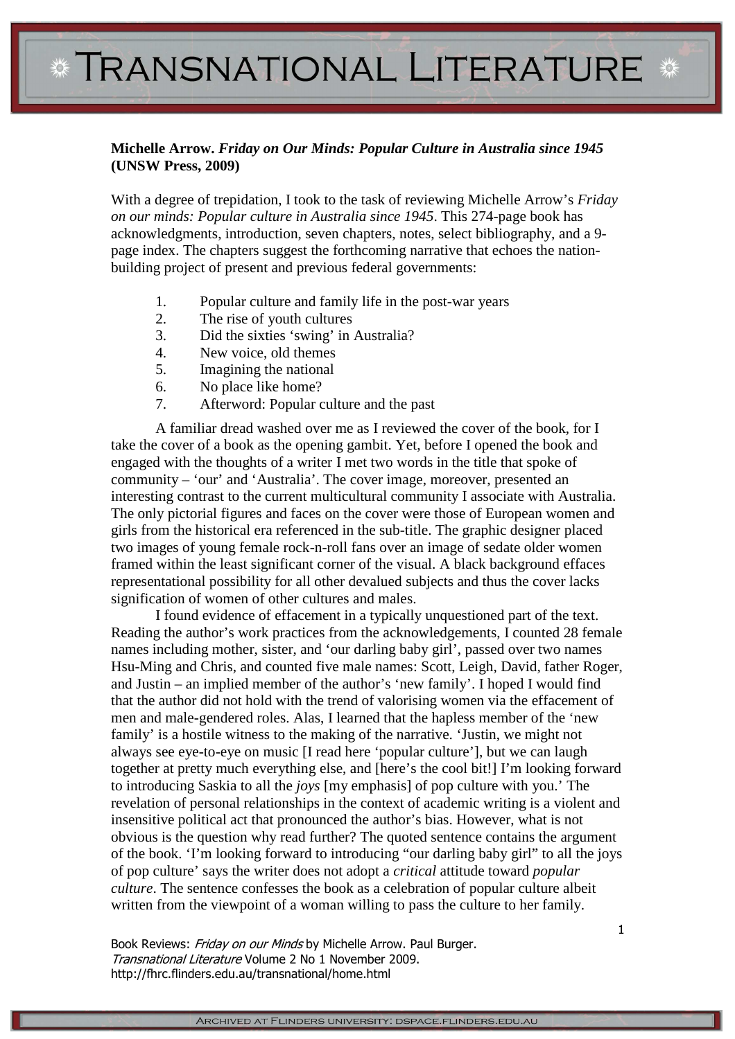## **\* TRANSNATIONAL LITERATURE \***

## **Michelle Arrow.** *Friday on Our Minds: Popular Culture in Australia since 1945*  **(UNSW Press, 2009)**

With a degree of trepidation, I took to the task of reviewing Michelle Arrow's *Friday on our minds: Popular culture in Australia since 1945*. This 274-page book has acknowledgments, introduction, seven chapters, notes, select bibliography, and a 9 page index. The chapters suggest the forthcoming narrative that echoes the nationbuilding project of present and previous federal governments:

- 1. Popular culture and family life in the post-war years
- 2. The rise of youth cultures
- 3. Did the sixties 'swing' in Australia?
- 4. New voice, old themes
- 5. Imagining the national
- 6. No place like home?
- 7. Afterword: Popular culture and the past

A familiar dread washed over me as I reviewed the cover of the book, for I take the cover of a book as the opening gambit. Yet, before I opened the book and engaged with the thoughts of a writer I met two words in the title that spoke of community – 'our' and 'Australia'. The cover image, moreover, presented an interesting contrast to the current multicultural community I associate with Australia. The only pictorial figures and faces on the cover were those of European women and girls from the historical era referenced in the sub-title. The graphic designer placed two images of young female rock-n-roll fans over an image of sedate older women framed within the least significant corner of the visual. A black background effaces representational possibility for all other devalued subjects and thus the cover lacks signification of women of other cultures and males.

I found evidence of effacement in a typically unquestioned part of the text. Reading the author's work practices from the acknowledgements, I counted 28 female names including mother, sister, and 'our darling baby girl', passed over two names Hsu-Ming and Chris, and counted five male names: Scott, Leigh, David, father Roger, and Justin – an implied member of the author's 'new family'. I hoped I would find that the author did not hold with the trend of valorising women via the effacement of men and male-gendered roles. Alas, I learned that the hapless member of the 'new family' is a hostile witness to the making of the narrative. 'Justin, we might not always see eye-to-eye on music [I read here 'popular culture'], but we can laugh together at pretty much everything else, and [here's the cool bit!] I'm looking forward to introducing Saskia to all the *joys* [my emphasis] of pop culture with you.' The revelation of personal relationships in the context of academic writing is a violent and insensitive political act that pronounced the author's bias. However, what is not obvious is the question why read further? The quoted sentence contains the argument of the book. 'I'm looking forward to introducing "our darling baby girl" to all the joys of pop culture' says the writer does not adopt a *critical* attitude toward *popular culture*. The sentence confesses the book as a celebration of popular culture albeit written from the viewpoint of a woman willing to pass the culture to her family.

Book Reviews: Friday on our Minds by Michelle Arrow. Paul Burger. Transnational Literature Volume 2 No 1 November 2009. http://fhrc.flinders.edu.au/transnational/home.html